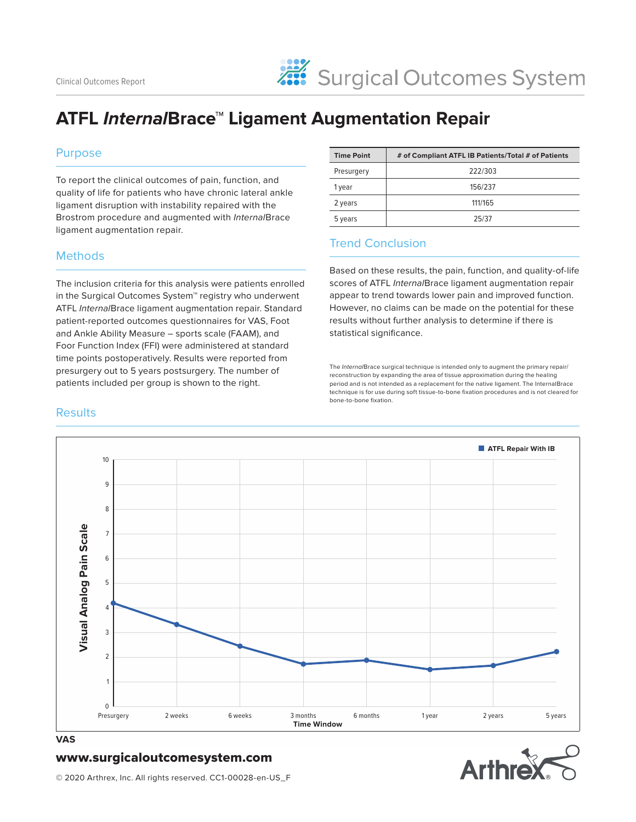### **ATFL Interna/Brace<sup>™</sup> Ligament Augmentation Repair**

#### Purpose

To report the clinical outcomes of pain, function, and quality of life for patients who have chronic lateral ankle ligament disruption with instability repaired with the Brostrom procedure and augmented with InternalBrace ligament augmentation repair.

#### **Methods**

The inclusion criteria for this analysis were patients enrolled in the Surgical Outcomes System™ registry who underwent ATFL InternalBrace ligament augmentation repair. Standard patient-reported outcomes questionnaires for VAS, Foot and Ankle Ability Measure – sports scale (FAAM), and Foor Function Index (FFI) were administered at standard time points postoperatively. Results were reported from presurgery out to 5 years postsurgery. The number of patients included per group is shown to the right.

| <b>Time Point</b> | # of Compliant ATFL IB Patients/Total # of Patients |
|-------------------|-----------------------------------------------------|
| Presurgery        | 222/303                                             |
| 1 year            | 156/237                                             |
| 2 years           | 111/165                                             |
| 5 years           | 25/37                                               |

#### Trend Conclusion

Based on these results, the pain, function, and quality-of-life scores of ATFL InternalBrace ligament augmentation repair appear to trend towards lower pain and improved function. However, no claims can be made on the potential for these results without further analysis to determine if there is statistical significance.

The InternalBrace surgical technique is intended only to augment the primary repair/ reconstruction by expanding the area of tissue approximation during the healing period and is not intended as a replacement for the native ligament. The InternalBrace technique is for use during soft tissue-to-bone fixation procedures and is not cleared for bone-to-bone fixation.

### **ATFL Repair With IB** 10 9 8 Visual Analog Pain Scale **Visual Analog Pain Scale** 7 6 5 4 3 2 1  $\Omega$ Presurgery 2 weeks 6 weeks 3 months 6 months 1 year 2 years 5 years **Time Window**

#### **VAS**

#### www.surgicaloutcomesystem.com



© 2020 Arthrex, Inc. All rights reserved. CC1-00028-en-US\_F

#### **Results**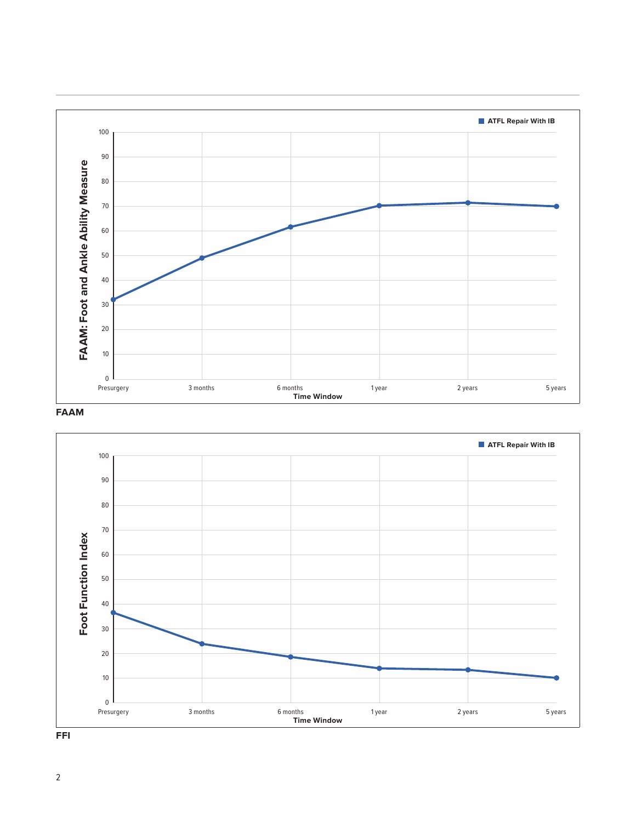

#### **FAAM**

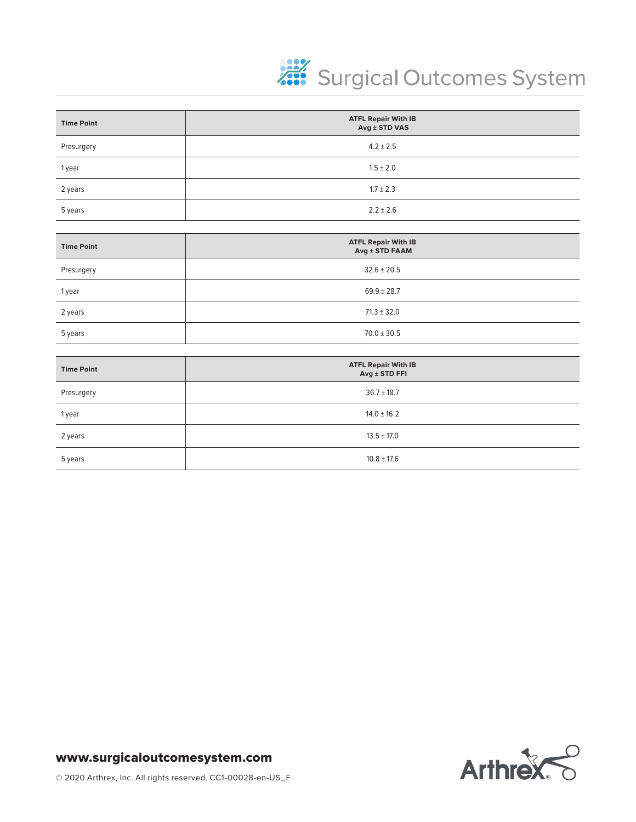

| <b>Time Point</b> | <b>ATFL Repair With IB</b><br>Avg ± STD VAS  |
|-------------------|----------------------------------------------|
| Presurgery        | $4.2 \pm 2.5$                                |
| 1 year            | $1.5 \pm 2.0$                                |
| 2 years           | $1.7 \pm 2.3$                                |
| 5 years           | $2.2 \pm 2.6$                                |
|                   |                                              |
| <b>Time Point</b> | <b>ATFL Repair With IB</b><br>Avg ± STD FAAM |
| Presurgery        | $32.6 \pm 20.5$                              |
| 1 year            | $69.9 \pm 28.7$                              |
| 2 years           | $71.3 \pm 32.0$                              |
| 5 years           | $70.0 \pm 30.5$                              |
|                   |                                              |
| <b>Time Point</b> | <b>ATFL Repair With IB</b><br>Avg ± STD FFI  |
| Presurgery        | $36.7 \pm 18.7$                              |
| 1 year            | $14.0 \pm 16.2$                              |
| 2 years           | $13.5 \pm 17.0$                              |
| 5 years           | $10.8 \pm 17.6$                              |

### www.surgicaloutcomesystem.com